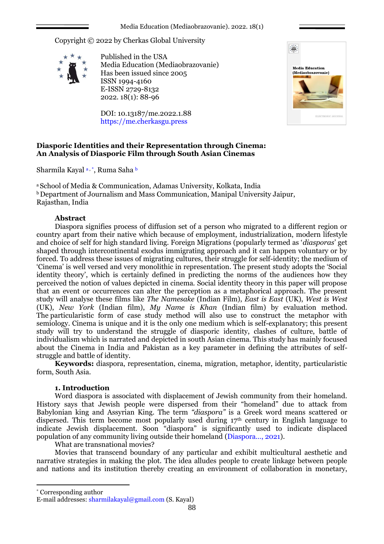Copyright © 2022 by Cherkas Global University



Published in the USA Media Education (Mediaobrazovanie) Has been issued since 2005 ISSN 1994-4160 E-ISSN 2729-8132 2022. 18(1): 88-96

DOI: 10.13187/me.2022.1.88 https://me.cherkasgu.press



# **Diasporic Identities and their Representation through Cinema: An Analysis of Diasporic Film through South Asian Cinemas**

Sharmila Kayal a, \*, Ruma Saha b

<sup>a</sup> School of Media & Communication, Adamas University, Kolkata, India  $b$  Department of Journalism and Mass Communication, Manipal University Jaipur, Rajasthan, India

## **Abstract**

Diaspora signifies process of diffusion set of a person who migrated to a different region or country apart from their native which because of employment, industrialization, modern lifestyle and choice of self for high standard living. Foreign Migrations (popularly termed as '*diasporas*' get shaped through intercontinental exodus immigrating approach and it can happen voluntary or by forced. To address these issues of migrating cultures, their struggle for self-identity; the medium of 'Cinema' is well versed and very monolithic in representation. The present study adopts the 'Social identity theory', which is certainly defined in predicting the norms of the audiences how they perceived the notion of values depicted in cinema. Social identity theory in this paper will propose that an event or occurrences can alter the perception as a metaphorical approach. The present study will analyse these films like *The Namesake* (Indian Film), *East is East* (UK), *West is West* (UK), *New York* (Indian film), *My Name is Khan* (Indian film) by evaluation method. The particularistic form of case study method will also use to construct the metaphor with semiology. Cinema is unique and it is the only one medium which is self-explanatory; this present study will try to understand the struggle of diasporic identity, clashes of culture, battle of individualism which is narrated and depicted in south Asian cinema. This study has mainly focused about the Cinema in India and Pakistan as a key parameter in defining the attributes of selfstruggle and battle of identity.

**Keywords:** diaspora, representation, cinema, migration, metaphor, identity, particularistic form, South Asia.

### **1. Introduction**

Word diaspora is associated with displacement of Jewish community from their homeland. History says that Jewish people were dispersed from their "homeland" due to attack from Babylonian king and Assyrian King. The term *"diaspora"* is a Greek word means scattered or dispersed. This term become most popularly used during  $17<sup>th</sup>$  century in English language to indicate Jewish displacement. Soon "diaspora" is significantly used to indicate displaced population of any community living outside their homeland (Diaspora…, 2021).

What are transnational movies?

Movies that transcend boundary of any particular and exhibit multicultural aesthetic and narrative strategies in making the plot. The idea alludes people to create linkage between people and nations and its institution thereby creating an environment of collaboration in monetary,

\* Corresponding author

1

E-mail addresses: [sharmilakayal@gmail.com](mailto:sharmilakayal@gmail.com) (S. Kayal)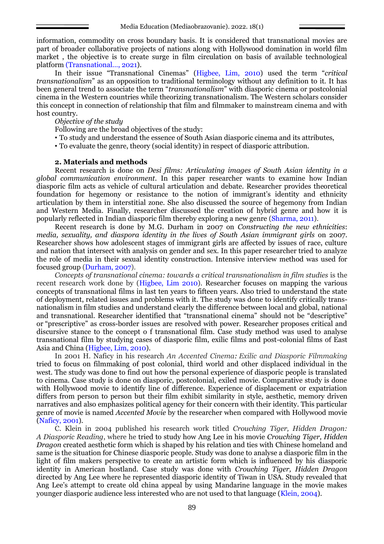information, commodity on cross boundary basis. It is considered that transnational movies are part of broader collaborative projects of nations along with Hollywood domination in world film market , the objective is to create surge in film circulation on basis of available technological platform (Transnational…, 2021).

In their issue "Transnational Cinemas" (Higbee, Lim, 2010) used the term "*critical transnationalism*" as an opposition to traditional terminology without any definition to it. It has been general trend to associate the term "*transnationalism*" with diasporic cinema or postcolonial cinema in the Western countries while theorizing transnationalism. The Western scholars consider this concept in connection of relationship that film and filmmaker to mainstream cinema and with host country.

*Objective of the study*

Following are the broad objectives of the study:

• To study and understand the essence of South Asian diasporic cinema and its attributes,

• To evaluate the genre, theory (social identity) in respect of diasporic attribution.

## **2. Materials and methods**

Recent research is done on *Desi films: Articulating images of South Asian identity in a global communication environment*. In this paper researcher wants to examine how Indian diasporic film acts as vehicle of cultural articulation and debate. Researcher provides theoretical foundation for hegemony or resistance to the notion of immigrant's identity and ethnicity articulation by them in interstitial zone. She also discussed the source of hegemony from Indian and Western Media. Finally, researcher discussed the creation of hybrid genre and how it is popularly reflected in Indian diasporic film thereby exploring a new genre (Sharma, 2011).

Recent research is done by M.G. Durham in 2007 on *Constructing the new ethnicities*: *media, sexuality, and diaspora identity in the lives of South Asian immigrant girls* on 2007. Researcher shows how adolescent stages of immigrant girls are affected by issues of race, culture and nation that intersect with analysis on gender and sex. In this paper researcher tried to analyze the role of media in their sexual identity construction. Intensive interview method was used for focused group (Durham, 2007).

*Concepts of transnational cinema: towards a critical transnationalism in film studies* is the recent research work done by (Higbee, Lim 2010). Researcher focuses on mapping the various concepts of transnational films in last ten years to fifteen years. Also tried to understand the state of deployment, related issues and problems with it. The study was done to identify critically transnationalism in film studies and understand clearly the difference between local and global, national and transnational. Researcher identified that "transnational cinema" should not be "descriptive" or "prescriptive" as cross-border issues are resolved with power. Researcher proposes critical and discursive stance to the concept o f transnational film. Case study method was used to analyse transnational film by studying cases of diasporic film, exilic films and post-colonial films of East Asia and China (Higbee, Lim, 2010).

In 2001 H. Naficy in his research *An Accented Cinema: Exilic and Diasporic Filmmaking* tried to focus on filmmaking of post colonial, third world and other displaced individual in the west. The study was done to find out how the personal experience of diasporic people is translated to cinema. Case study is done on diasporic, postcolonial, exiled movie. Comparative study is done with Hollywood movie to identify line of difference. Experience of displacement or expatriation differs from person to person but their film exhibit similarity in style, aesthetic, memory driven narratives and also emphasizes political agency for their concern with their identity. This particular genre of movie is named *Accented Movie* by the researcher when compared with Hollywood movie (Naficy, 2001).

C. Klein in 2004 published his research work titled *Crouching Tiger, Hidden Dragon: A Diasporic Reading*, where he tried to study how Ang Lee in his movie *Crouching Tiger, Hidden Dragon* created aesthetic form which is shaped by his relation and ties with Chinese homeland and same is the situation for Chinese diasporic people. Study was done to analyse a diasporic film in the light of film makers perspective to create an artistic form which is influenced by his diasporic identity in American hostland. Case study was done with *Crouching Tiger, Hidden Dragon* directed by Ang Lee where he represented diasporic identity of Tiwan in USA. Study revealed that Ang Lee's attempt to create old china appeal by using Mandarine language in the movie makes younger diasporic audience less interested who are not used to that language (Klein, 2004).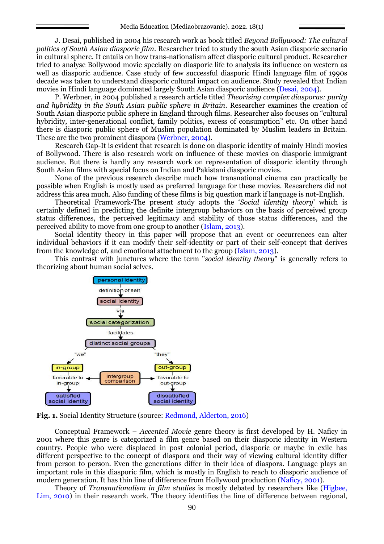J. Desai, published in 2004 his research work as book titled *Beyond Bollywood: The cultural politics of South Asian diasporic film*. Researcher tried to study the south Asian diasporic scenario in cultural sphere. It entails on how trans-nationalism affect diasporic cultural product. Researcher tried to analyse Bollywood movie specially on diasporic life to analysis its influence on western as well as diasporic audience. Case study of few successful diasporic Hindi language film of 1990s decade was taken to understand diasporic cultural impact on audience. Study revealed that Indian movies in Hindi language dominated largely South Asian diasporic audience (Desai, 2004).

P. Werbner, in 2004 published a research article titled *Theorising complex diasporas: purity and hybridity in the South Asian public sphere in Britain*. Researcher examines the creation of South Asian diasporic public sphere in England through films. Researcher also focuses on "cultural hybridity, inter-generational conflict, family politics, excess of consumption" etc. On other hand there is diasporic public sphere of Muslim population dominated by Muslim leaders in Britain. These are the two prominent diaspora (Werbner, 2004).

Research Gap-It is evident that research is done on diasporic identity of mainly Hindi movies of Bollywood. There is also research work on influence of these movies on diasporic immigrant audience. But there is hardly any research work on representation of diasporic identity through South Asian films with special focus on Indian and Pakistani diasporic movies.

None of the previous research describe much how transnational cinema can practically be possible when English is mostly used as preferred language for these movies. Researchers did not address this area much. Also funding of these films is big question mark if language is not-English.

Theoretical Framework-The present study adopts the '*Social identity theory*' which is certainly defined in predicting the definite intergroup behaviors on the basis of perceived group status differences, the perceived legitimacy and stability of those status differences, and the perceived ability to move from one group to another (Islam, 2013).

Social identity theory in this paper will propose that an event or occurrences can alter individual behaviors if it can modify their self-identity or part of their self-concept that derives from the knowledge of, and emotional attachment to the group (Islam, 2013).

This contrast with junctures where the term "*social identity theory*" is generally refers to theorizing about human social selves.



**Fig. 1.** Social Identity Structure (source: Redmond, Alderton, 2016)

Conceptual Framework – *Accented Movie* genre theory is first developed by H. Naficy in 2001 where this genre is categorized a film genre based on their diasporic identity in Western country. People who were displaced in post colonial period, diasporic or maybe in exile has different perspective to the concept of diaspora and their way of viewing cultural identity differ from person to person. Even the generations differ in their idea of diaspora. Language plays an important role in this diasporic film, which is mostly in English to reach to diasporic audience of modern generation. It has thin line of difference from Hollywood production (Naficy, 2001).

Theory of *Transnationalism in film studies* is mostly debated by researchers like (Higbee, Lim, 2010) in their research work. The theory identifies the line of difference between regional,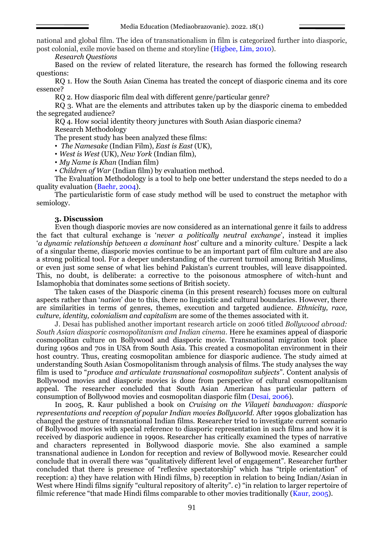national and global film. The idea of transnationalism in film is categorized further into diasporic, post colonial, exile movie based on theme and storyline (Higbee, Lim, 2010).

*Research Questions*

Based on the review of related literature, the research has formed the following research questions:

RQ 1. How the South Asian Cinema has treated the concept of diasporic cinema and its core essence?

RQ 2. How diasporic film deal with different genre/particular genre?

RO 3. What are the elements and attributes taken up by the diasporic cinema to embedded the segregated audience?

RQ 4. How social identity theory junctures with South Asian diasporic cinema? Research Methodology

The present study has been analyzed these films:

• *The Namesake* (Indian Film), *East is East* (UK),

• *West is West* (UK), *New York* (Indian film),

• *My Name is Khan* (Indian film)

• *Children of War* (Indian film) by evaluation method.

The Evaluation Methodology is a tool to help one better understand the steps needed to do a quality evaluation (Baehr, 2004).

The particularistic form of case study method will be used to construct the metaphor with semiology.

### **3. Discussion**

Even though diasporic movies are now considered as an international genre it fails to address the fact that cultural exchange is '*never a politically neutral exchange*', instead it implies '*a dynamic relationship between a dominant host'* culture and a minority culture.' Despite a lack of a singular theme, diasporic movies continue to be an important part of film culture and are also a strong political tool. For a deeper understanding of the current turmoil among British Muslims, or even just some sense of what lies behind Pakistan's current troubles, will leave disappointed. This, no doubt, is deliberate: a corrective to the poisonous atmosphere of witch-hunt and Islamophobia that dominates some sections of British society.

The taken cases of the Diasporic cinema (in this present research) focuses more on cultural aspects rather than '*nation*' due to this, there no linguistic and cultural boundaries. However, there are similarities in terms of genres, themes, execution and targeted audience. *Ethnicity, race, culture, identity, colonialism and capitalism* are some of the themes associated with it.

J. Desai has published another important research article on 2006 titled *Bollywood abroad: South Asian diasporic cosmopolitanism and Indian cinema*. Here he examines appeal of diasporic cosmopolitan culture on Bollywood and diasporic movie. Transnational migration took place during 1960s and 70s in USA from South Asia. This created a cosmopolitan environment in their host country. Thus, creating cosmopolitan ambience for diasporic audience. The study aimed at understanding South Asian Cosmopolitanism through analysis of films. The study analyses the way film is used to "*produce and articulate transnational cosmopolitan subjects*". Content analysis of Bollywood movies and diasporic movies is done from perspective of cultural cosmopolitanism appeal. The researcher concluded that South Asian American has particular pattern of consumption of Bollywood movies and cosmopolitan diasporic film (Desai, 2006).

In 2005, R. Kaur published a book on *Cruising on the Vilayeti bandwagon: diasporic representations and reception of popular Indian movies Bollyworld*. After 1990s globalization has changed the gesture of transnational Indian films. Researcher tried to investigate current scenario of Bollywood movies with special reference to diasporic representation in such films and how it is received by diasporic audience in 1990s. Researcher has critically examined the types of narrative and characters represented in Bollywood diasporic movie. She also examined a sample transnational audience in London for reception and review of Bollywood movie. Researcher could conclude that in overall there was "qualitatively different level of engagement". Researcher further concluded that there is presence of "reflexive spectatorship" which has "triple orientation" of reception: a) they have relation with Hindi films, b) reception in relation to being Indian/Asian in West where Hindi films signify "cultural repository of alterity". c) "in relation to larger repertoire of filmic reference "that made Hindi films comparable to other movies traditionally (Kaur, 2005).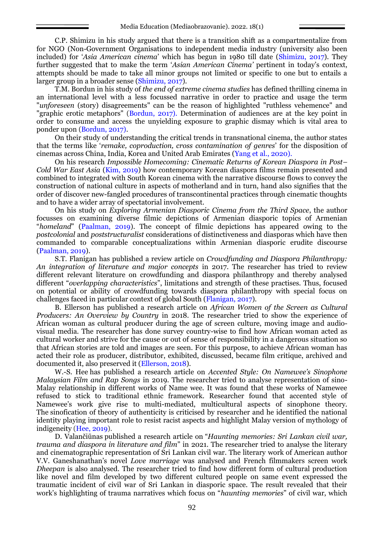C.P. Shimizu in his study argued that there is a transition shift as a compartmentalize from for NGO (Non-Government Organisations to independent media industry (university also been included) for '*Asia American cinema*' which has begun in 1980 till date (Shimizu, 2017). They further suggested that to make the term '*Asian American Cinema'* pertinent in today's context, attempts should be made to take all minor groups not limited or specific to one but to entails a larger group in a broader sense (Shimizu, 2017).

T.M. Bordun in his study of *the end of extreme cinema studies* has defined thrilling cinema in an international level with a less focussed narrative in order to practice and usage the term "*unforeseen* (story) disagreements" can be the reason of highlighted "ruthless vehemence" and "graphic erotic metaphors" (Bordun, 2017). Determination of audiences are at the key point in order to consume and access the unyielding exposure to graphic dismay which is vital area to ponder upon (Bordun, 2017).

On their study of understanding the critical trends in transnational cinema, the author states that the terms like '*remake, coproduction, cross contamination of genres*' for the disposition of cinemas across China, India, Korea and United Arab Emirates (Yang et al., 2020).

On his research *Impossible Homecoming: Cinematic Returns of Korean Diaspora in Post– Cold War East Asia* (Kim, 2019) how contemporary Korean diaspora films remain presented and combined to integrated with South Korean cinema with the narrative discourse flows to convey the construction of national culture in aspects of motherland and in turn, hand also signifies that the order of discover new-fangled procedures of transcontinental practices through cinematic thoughts and to have a wider array of spectatorial involvement.

On his study on *Exploring Armenian Diasporic Cinema from the Third Space*, the author focusses on examining diverse filmic depictions of Armenian diasporic topics of Armenian "*homeland*" (Paalman, 2019). The concept of filmic depictions has appeared owing to the *postcolonial* and *poststructuralist* considerations of distinctiveness and diasporas which have then commanded to comparable conceptualizations within Armenian diasporic erudite discourse (Paalman, 2019).

S.T. Flanigan has published a review article on *Crowdfunding and Diaspora Philanthropy: An integration of literature and major concepts* in 2017. The researcher has tried to review different relevant literature on crowdfunding and diaspora philanthropy and thereby analysed different "*overlapping characteristics*", limitations and strength of these practises. Thus, focused on potential or ability of crowdfunding towards diaspora philanthropy with special focus on challenges faced in particular context of global South (Flanigan, 2017).

B. Ellerson has published a research article on *African Women of the Screen as Cultural Producers: An Overview by Country* in 2018. The researcher tried to show the experience of African woman as cultural producer during the age of screen culture, moving image and audiovisual media. The researcher has done survey country-wise to find how African woman acted as cultural worker and strive for the cause or out of sense of responsibility in a dangerous situation so that African stories are told and images are seen. For this purpose, to achieve African woman has acted their role as producer, distributor, exhibited, discussed, became film critique, archived and documented it, also preserved it (Ellerson, 2018).

W.-S. Hee has published a research article on *Accented Style: On Namewee's Sinophone Malaysian Film and Rap Songs* in 2019. The researcher tried to analyse representation of sino-Malay relationship in different works of Name wee. It was found that these works of Namewee refused to stick to traditional ethnic framework. Researcher found that accented style of Namewee's work give rise to multi-mediated, multicultural aspects of sinophone theory. The sinofication of theory of authenticity is criticised by researcher and he identified the national identity playing important role to resist racist aspects and highlight Malay version of mythology of indigeneity (Hee, 2019).

D. Valančiūnas published a research article on "*Haunting memories: Sri Lankan civil war, trauma and diaspora in literature and film*" in 2021. The researcher tried to analyse the literary and cinematographic representation of Sri Lankan civil war. The literary work of American author V.V. Ganeshanathan's novel *Love marriage* was analysed and French filmmakers screen work *Dheepan* is also analysed. The researcher tried to find how different form of cultural production like novel and film developed by two different cultured people on same event expressed the traumatic incident of civil war of Sri Lankan in diasporic space. The result revealed that their work's highlighting of trauma narratives which focus on "*haunting memories*" of civil war, which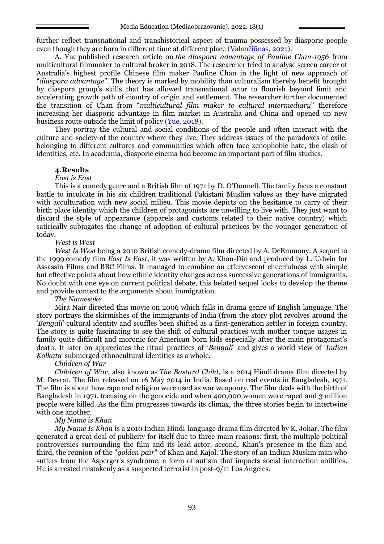further reflect transnational and transhistorical aspect of trauma possessed by diasporic people even though they are born in different time at different place (Valančiūnas, 2021).

A. Yue published research article on *the diaspora advantage of Pauline Chan-1956* from multicultural filmmaker to cultural broker in 2018. The researcher tried to analyse screen career of Australia's highest profile Chinese film maker Pauline Chan in the light of new approach of "*diaspora advantage*". The theory is marked by mobility than culturalism thereby benefit brought by diaspora group's skills that has allowed transnational actor to flourish beyond limit and accelerating growth path of country of origin and settlement. The researcher further documented the transition of Chan from "*multicultural film maker to cultural intermediary*'' therefore increasing her diasporic advantage in film market in Australia and China and opened up new business route outside the limit of policy (Yue, 2018).

They portray the cultural and social conditions of the people and often interact with the culture and society of the country where they live. They address issues of the paradoxes of exile, belonging to different cultures and communities which often face xenophobic hate, the clash of identities, etc. In academia, diasporic cinema had become an important part of film studies.

### **4.Results**

#### *East is East*

This is a comedy genre and a British film of 1971 by D. O'Donnell. The family faces a constant battle to inculcate in his six children traditional Pakistani Muslim values as they have migrated with acculturation with new social milieu. This movie depicts on the hesitance to carry of their birth place identity which the children of protagonists are unwilling to live with. They just want to discard the style of appearance (apparels and customs related to their native country) which satirically subjugates the change of adoption of cultural practices by the younger generation of today.

### *West is West*

*West Is West* being a 2010 British comedy-drama film directed by A. DeEmmony. A sequel to the 1999 comedy film *East Is East*, it was written by A. Khan-Din and produced by L. Udwin for Assassin Films and BBC Films. It managed to combine an effervescent cheerfulness with simple but effective points about how ethnic identity changes across successive generations of immigrants. No doubt with one eye on current political debate, this belated sequel looks to develop the theme and provide context to the arguments about immigration.

#### *The Namesake*

Mira Nair directed this movie on 2006 which falls in drama genre of English language. The story portrays the skirmishes of the immigrants of India (from the story plot revolves around the '*Bengali*' cultural identity and scuffles been shifted as a first-generation settler in foreign country. The story is quite fascinating to see the shift of cultural practices with mother tongue usages in family quite difficult and moronic for American born kids especially after the main protagonist's death. It later on appreciates the ritual practices of '*Bengali*' and gives a world view of '*Indian Kolkata'* submerged ethnocultural identities as a whole.

## *Children of War*

*Children of War*, also known as *The Bastard Child*, is a 2014 Hindi drama film directed by M. Devrat. The film released on 16 May 2014 in India. Based on real events in Bangladesh, 1971. The film is about how rape and religion were used as war weaponry. The film deals with the birth of Bangladesh in 1971, focusing on the genocide and when 400,000 women were raped and 3 million people were killed. As the film progresses towards its climax, the three stories begin to intertwine with one another.

### *My Name is Khan*

*My Name Is Khan* is a 2010 Indian Hindi-language drama film directed by K. Johar. The film generated a great deal of publicity for itself due to three main reasons: first, the multiple political controversies surrounding the film and its lead actor; second, Khan's presence in the film and third, the reunion of the "*golden pair*" of Khan and Kajol. The story of an Indian Muslim man who suffers from the Asperger's syndrome, a form of autism that impacts social interaction abilities. He is arrested mistakenly as a suspected terrorist in post-9/11 Los Angeles.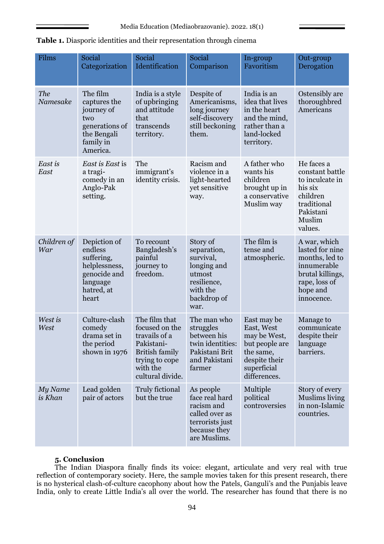| Films                  | Social<br>Categorization                                                                                  | Social<br>Identification                                                                                                                  | Social<br>Comparison                                                                                            | In-group<br>Favoritism                                                                                                   | Out-group<br>Derogation                                                                                                         |
|------------------------|-----------------------------------------------------------------------------------------------------------|-------------------------------------------------------------------------------------------------------------------------------------------|-----------------------------------------------------------------------------------------------------------------|--------------------------------------------------------------------------------------------------------------------------|---------------------------------------------------------------------------------------------------------------------------------|
| <b>The</b><br>Namesake | The film<br>captures the<br>journey of<br>two<br>generations of<br>the Bengali<br>family in<br>America.   | India is a style<br>of upbringing<br>and attitude<br>that<br>transcends<br>territory.                                                     | Despite of<br>Americanisms,<br>long journey<br>self-discovery<br>still beckoning<br>them.                       | India is an<br>idea that lives<br>in the heart<br>and the mind,<br>rather than a<br>land-locked<br>territory.            | Ostensibly are<br>thoroughbred<br>Americans                                                                                     |
| East is<br>East        | East is East is<br>a tragi-<br>comedy in an<br>Anglo-Pak<br>setting.                                      | The<br>immigrant's<br>identity crisis.                                                                                                    | Racism and<br>violence in a<br>light-hearted<br>yet sensitive<br>way.                                           | A father who<br>wants his<br>children<br>brought up in<br>a conservative<br>Muslim way                                   | He faces a<br>constant battle<br>to inculcate in<br>his six<br>children<br>traditional<br>Pakistani<br>Muslim<br>values.        |
| Children of<br>War     | Depiction of<br>endless<br>suffering,<br>helplessness,<br>genocide and<br>language<br>hatred, at<br>heart | To recount<br>Bangladesh's<br>painful<br>journey to<br>freedom.                                                                           | Story of<br>separation,<br>survival,<br>longing and<br>utmost<br>resilience,<br>with the<br>backdrop of<br>war. | The film is<br>tense and<br>atmospheric.                                                                                 | A war, which<br>lasted for nine<br>months, led to<br>innumerable<br>brutal killings,<br>rape, loss of<br>hope and<br>innocence. |
| West is<br>West        | Culture-clash<br>comedy<br>drama set in<br>the period<br>shown in 1976                                    | The film that<br>focused on the<br>travails of a<br>Pakistani-<br><b>British family</b><br>trying to cope<br>with the<br>cultural divide. | The man who<br>struggles<br>between his<br>twin identities:<br>Pakistani Brit<br>and Pakistani<br>farmer        | East may be<br>East, West<br>may be West,<br>but people are<br>the same,<br>despite their<br>superficial<br>differences. | Manage to<br>communicate<br>despite their<br>language<br>barriers.                                                              |
| My Name<br>is Khan     | Lead golden<br>pair of actors                                                                             | Truly fictional<br>but the true                                                                                                           | As people<br>face real hard<br>racism and<br>called over as<br>terrorists just<br>because they<br>are Muslims.  | Multiple<br>political<br>controversies                                                                                   | Story of every<br>Muslims living<br>in non-Islamic<br>countries.                                                                |

**Table 1.** Diasporic identities and their representation through cinema

### **5. Conclusion**

The Indian Diaspora finally finds its voice: elegant, articulate and very real with true reflection of contemporary society. Here, the sample movies taken for this present research, there is no hysterical clash-of-culture cacophony about how the Patels, Ganguli's and the Punjabis leave India, only to create Little India's all over the world. The researcher has found that there is no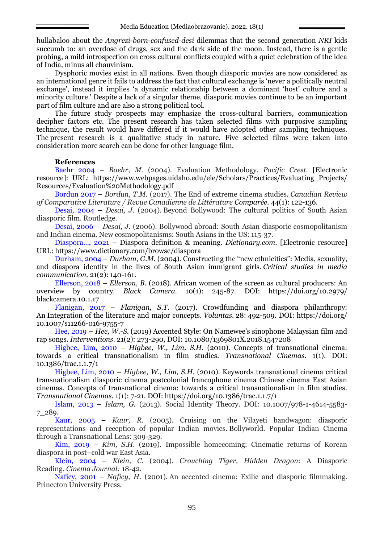hullabaloo about the *Angrezi-born-confused-desi* dilemmas that the second generation *NRI* kids succumb to: an overdose of drugs, sex and the dark side of the moon. Instead, there is a gentle probing, a mild introspection on cross cultural conflicts coupled with a quiet celebration of the idea of India, minus all chauvinism.

Dysphoric movies exist in all nations. Even though diasporic movies are now considered as an international genre it fails to address the fact that cultural exchange is 'never a politically neutral exchange', instead it implies 'a dynamic relationship between a dominant 'host' culture and a minority culture.' Despite a lack of a singular theme, diasporic movies continue to be an important part of film culture and are also a strong political tool.

The future study prospects may emphasize the cross-cultural barriers, communication decipher factors etc. The present research has taken selected films with purposive sampling technique, the result would have differed if it would have adopted other sampling techniques. The present research is a qualitative study in nature. Five selected films were taken into consideration more search can be done for other language film.

## **References**

Baehr 2004 – *Baehr, M.* (2004). Evaluation Methodology. *Pacific Crest*. [Electronic resource]: URL: [https://www.webpages.uidaho.edu/ele/Scholars/Practices/Evaluating\\_Projects/](https://www.webpages.uidaho.edu/ele/Scholars/Practices/Evaluating_Projects/Resources/Evaluation%20Methodology.pdf) [Resources/Evaluation%20Methodology.pdf](https://www.webpages.uidaho.edu/ele/Scholars/Practices/Evaluating_Projects/Resources/Evaluation%20Methodology.pdf)

Bordun 2017 – *Bordun, T.M.* (2017). The End of extreme cinema studies. *Canadian Review of Comparative Literature / Revue Canadienne de Littérature Comparée.* 44(1): 122-136.

Desai, 2004 – *Desai, J.* (2004). Beyond Bollywood: The cultural politics of South Asian diasporic film. Routledge.

Desai, 2006 – *Desai, J.* (2006). Bollywood abroad: South Asian diasporic cosmopolitanism and Indian cinema. New cosmopolitanisms: South Asians in the US: 115-37.

Diaspora…, 2021 – Diaspora definition & meaning. *Dictionary.com*. [Electronic resource] URL: https://www.dictionary.com/browse/diaspora

Durham, 2004 – *Durham, G.M.* (2004). Constructing the "new ethnicities": Media, sexuality, and diaspora identity in the lives of South Asian immigrant girls. *Critical studies in media communication.* 21(2): 140-161.

Ellerson, 2018 – *Ellerson, B.* (2018). African women of the screen as cultural producers: An overview by country. *Black Camera.* 10(1): 245-87. DOI: [https://doi.org/10.2979/](https://doi.org/10.2979/blackcamera.10.1.17) [blackcamera.10.1.17](https://doi.org/10.2979/blackcamera.10.1.17)

Flanigan, 2017 – *Flanigan, S.T.* (2017). Crowdfunding and diaspora philanthropy: An Integration of the literature and major concepts. *Voluntas.* 28: 492-509. DOI: [https://doi.org/](https://doi.org/10.1007/s11266-016-9755-7) [10.1007/s11266-016-9755-7](https://doi.org/10.1007/s11266-016-9755-7)

Hee, 2019 – *Hee, W.-S.* (2019) Accented Style: On Namewee's sinophone Malaysian film and rap songs. *Interventions.* 21(2): 273-290, DOI: [10.1080/1369801X.2018.1547208](https://doi.org/10.1080/1369801X.2018.1547208)

Higbee, Lim, 2010 – *Higbee, W., Lim, S.H.* (2010). Concepts of transnational cinema: towards a critical transnationalism in film studies. *Transnational Cinemas.* 1(1). DOI: 10.1386/trac.1.1.7/1

Higbee, Lim, 2010 – *Higbee, W., Lim, S.H.* (2010). Keywords transnational cinema critical transnationalism diasporic cinema postcolonial francophone cinema Chinese cinema East Asian cinemas. Concepts of transnational cinema: towards a critical transnationalism in film studies. *Transnational Cinemas.* 1(1): 7-21. DOI: https://doi.org/10.1386/trac.1.1.7/1

Islam, 2013 – *Islam, G.* (2013). Social Identity Theory. DOI: 10.1007/978-1-4614-5583- 7\_289.

Kaur, 2005 – *Kaur, R.* (2005). Cruising on the Vilayeti bandwagon: diasporic representations and reception of popular Indian movies. Bollyworld. Popular Indian Cinema through a Transnational Lens: 309-329.

Kim, 2019 – *Kim, S.H.* (2019). Impossible homecoming: Cinematic returns of Korean diaspora in post–cold war East Asia.

Klein, 2004 – *Klein, C.* (2004). *Crouching Tiger, Hidden Dragon*: A Diasporic Reading. *Cinema Journal:* 18-42.

Naficy, 2001 – *Naficy, H.* (2001). An accented cinema: Exilic and diasporic filmmaking. Princeton University Press.